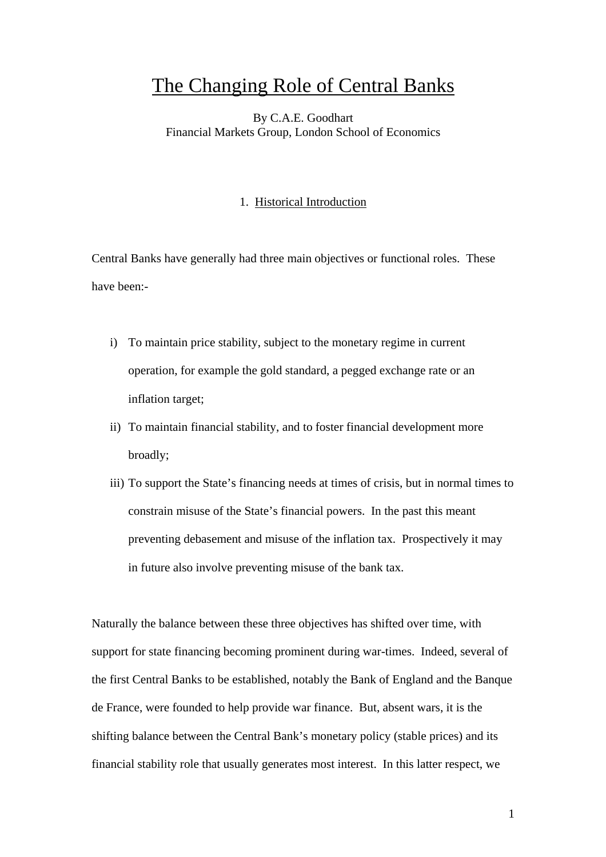# The Changing Role of Central Banks

## By C.A.E. Goodhart Financial Markets Group, London School of Economics

## 1. Historical Introduction

Central Banks have generally had three main objectives or functional roles. These have been:-

- i) To maintain price stability, subject to the monetary regime in current operation, for example the gold standard, a pegged exchange rate or an inflation target;
- ii) To maintain financial stability, and to foster financial development more broadly;
- iii) To support the State's financing needs at times of crisis, but in normal times to constrain misuse of the State's financial powers. In the past this meant preventing debasement and misuse of the inflation tax. Prospectively it may in future also involve preventing misuse of the bank tax.

Naturally the balance between these three objectives has shifted over time, with support for state financing becoming prominent during war-times. Indeed, several of the first Central Banks to be established, notably the Bank of England and the Banque de France, were founded to help provide war finance. But, absent wars, it is the shifting balance between the Central Bank's monetary policy (stable prices) and its financial stability role that usually generates most interest. In this latter respect, we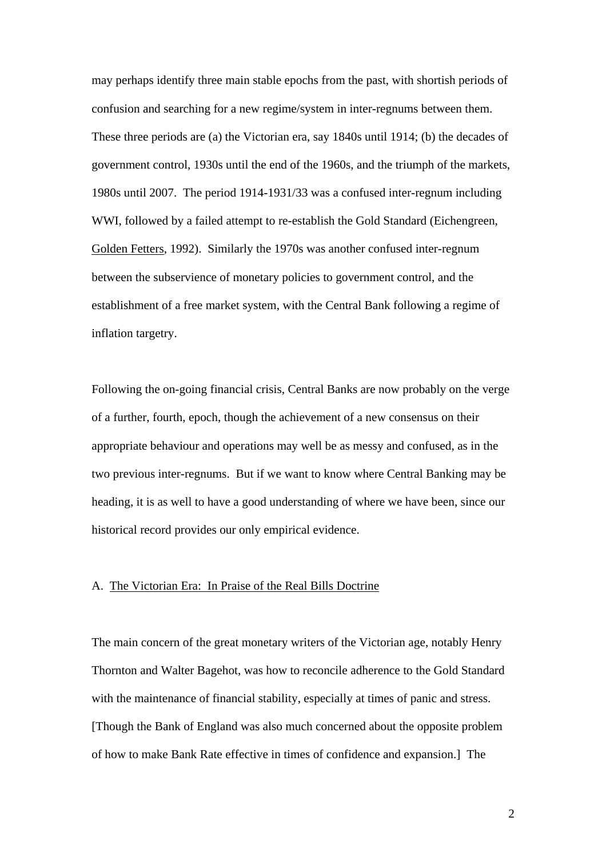may perhaps identify three main stable epochs from the past, with shortish periods of confusion and searching for a new regime/system in inter-regnums between them. These three periods are (a) the Victorian era, say 1840s until 1914; (b) the decades of government control, 1930s until the end of the 1960s, and the triumph of the markets, 1980s until 2007. The period 1914-1931/33 was a confused inter-regnum including WWI, followed by a failed attempt to re-establish the Gold Standard (Eichengreen, Golden Fetters, 1992). Similarly the 1970s was another confused inter-regnum between the subservience of monetary policies to government control, and the establishment of a free market system, with the Central Bank following a regime of inflation targetry.

Following the on-going financial crisis, Central Banks are now probably on the verge of a further, fourth, epoch, though the achievement of a new consensus on their appropriate behaviour and operations may well be as messy and confused, as in the two previous inter-regnums. But if we want to know where Central Banking may be heading, it is as well to have a good understanding of where we have been, since our historical record provides our only empirical evidence.

## A. The Victorian Era: In Praise of the Real Bills Doctrine

The main concern of the great monetary writers of the Victorian age, notably Henry Thornton and Walter Bagehot, was how to reconcile adherence to the Gold Standard with the maintenance of financial stability, especially at times of panic and stress. [Though the Bank of England was also much concerned about the opposite problem of how to make Bank Rate effective in times of confidence and expansion.] The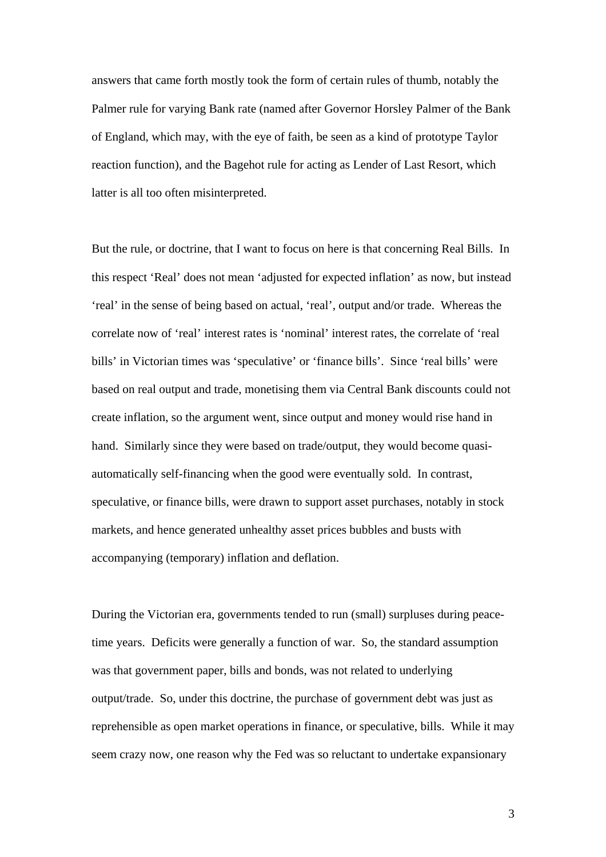answers that came forth mostly took the form of certain rules of thumb, notably the Palmer rule for varying Bank rate (named after Governor Horsley Palmer of the Bank of England, which may, with the eye of faith, be seen as a kind of prototype Taylor reaction function), and the Bagehot rule for acting as Lender of Last Resort, which latter is all too often misinterpreted.

But the rule, or doctrine, that I want to focus on here is that concerning Real Bills. In this respect 'Real' does not mean 'adjusted for expected inflation' as now, but instead 'real' in the sense of being based on actual, 'real', output and/or trade. Whereas the correlate now of 'real' interest rates is 'nominal' interest rates, the correlate of 'real bills' in Victorian times was 'speculative' or 'finance bills'. Since 'real bills' were based on real output and trade, monetising them via Central Bank discounts could not create inflation, so the argument went, since output and money would rise hand in hand. Similarly since they were based on trade/output, they would become quasiautomatically self-financing when the good were eventually sold. In contrast, speculative, or finance bills, were drawn to support asset purchases, notably in stock markets, and hence generated unhealthy asset prices bubbles and busts with accompanying (temporary) inflation and deflation.

During the Victorian era, governments tended to run (small) surpluses during peacetime years. Deficits were generally a function of war. So, the standard assumption was that government paper, bills and bonds, was not related to underlying output/trade. So, under this doctrine, the purchase of government debt was just as reprehensible as open market operations in finance, or speculative, bills. While it may seem crazy now, one reason why the Fed was so reluctant to undertake expansionary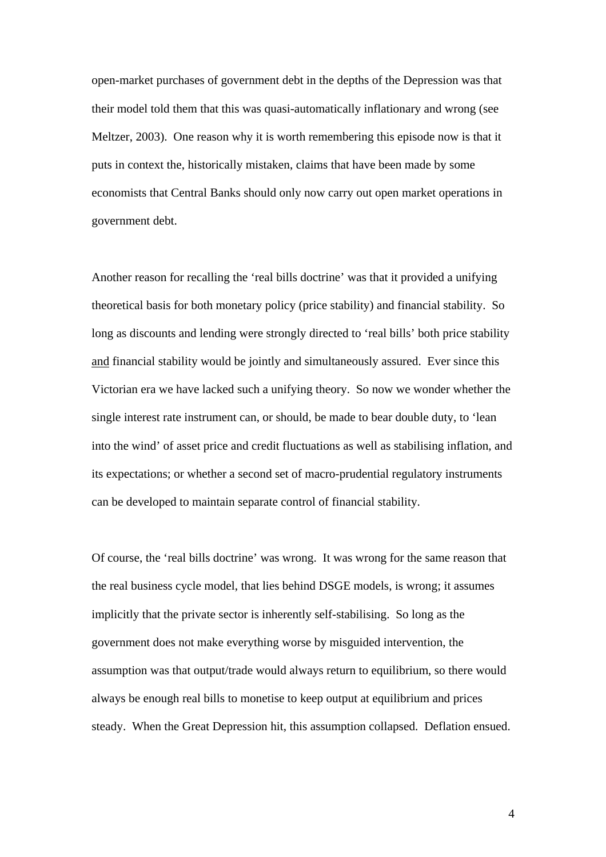open-market purchases of government debt in the depths of the Depression was that their model told them that this was quasi-automatically inflationary and wrong (see Meltzer, 2003). One reason why it is worth remembering this episode now is that it puts in context the, historically mistaken, claims that have been made by some economists that Central Banks should only now carry out open market operations in government debt.

Another reason for recalling the 'real bills doctrine' was that it provided a unifying theoretical basis for both monetary policy (price stability) and financial stability. So long as discounts and lending were strongly directed to 'real bills' both price stability and financial stability would be jointly and simultaneously assured. Ever since this Victorian era we have lacked such a unifying theory. So now we wonder whether the single interest rate instrument can, or should, be made to bear double duty, to 'lean into the wind' of asset price and credit fluctuations as well as stabilising inflation, and its expectations; or whether a second set of macro-prudential regulatory instruments can be developed to maintain separate control of financial stability.

Of course, the 'real bills doctrine' was wrong. It was wrong for the same reason that the real business cycle model, that lies behind DSGE models, is wrong; it assumes implicitly that the private sector is inherently self-stabilising. So long as the government does not make everything worse by misguided intervention, the assumption was that output/trade would always return to equilibrium, so there would always be enough real bills to monetise to keep output at equilibrium and prices steady. When the Great Depression hit, this assumption collapsed. Deflation ensued.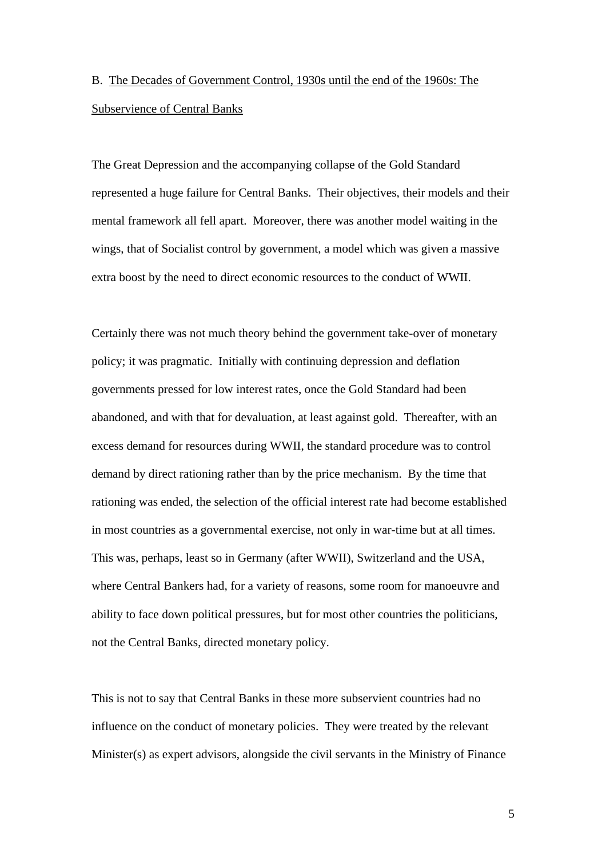# B. The Decades of Government Control, 1930s until the end of the 1960s: The Subservience of Central Banks

The Great Depression and the accompanying collapse of the Gold Standard represented a huge failure for Central Banks. Their objectives, their models and their mental framework all fell apart. Moreover, there was another model waiting in the wings, that of Socialist control by government, a model which was given a massive extra boost by the need to direct economic resources to the conduct of WWII.

Certainly there was not much theory behind the government take-over of monetary policy; it was pragmatic. Initially with continuing depression and deflation governments pressed for low interest rates, once the Gold Standard had been abandoned, and with that for devaluation, at least against gold. Thereafter, with an excess demand for resources during WWII, the standard procedure was to control demand by direct rationing rather than by the price mechanism. By the time that rationing was ended, the selection of the official interest rate had become established in most countries as a governmental exercise, not only in war-time but at all times. This was, perhaps, least so in Germany (after WWII), Switzerland and the USA, where Central Bankers had, for a variety of reasons, some room for manoeuvre and ability to face down political pressures, but for most other countries the politicians, not the Central Banks, directed monetary policy.

This is not to say that Central Banks in these more subservient countries had no influence on the conduct of monetary policies. They were treated by the relevant Minister(s) as expert advisors, alongside the civil servants in the Ministry of Finance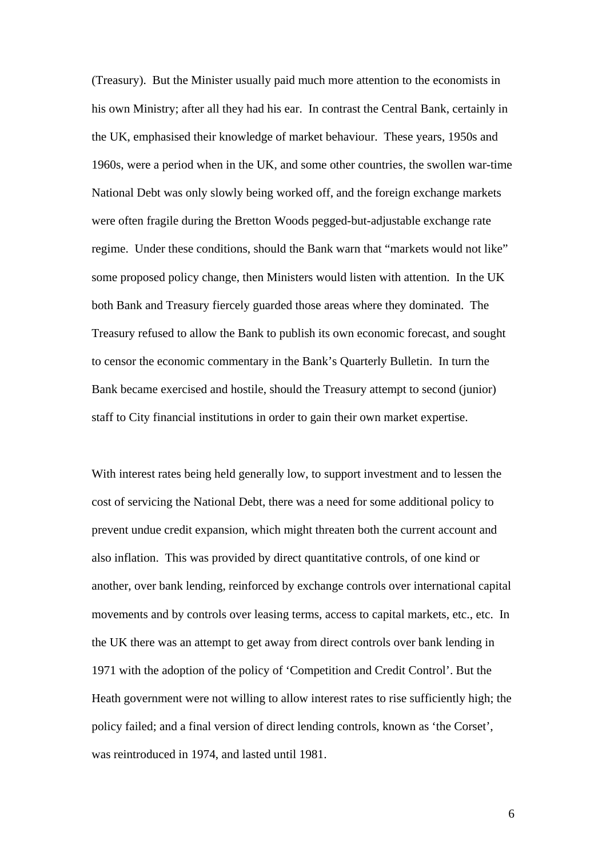(Treasury). But the Minister usually paid much more attention to the economists in his own Ministry; after all they had his ear. In contrast the Central Bank, certainly in the UK, emphasised their knowledge of market behaviour. These years, 1950s and 1960s, were a period when in the UK, and some other countries, the swollen war-time National Debt was only slowly being worked off, and the foreign exchange markets were often fragile during the Bretton Woods pegged-but-adjustable exchange rate regime. Under these conditions, should the Bank warn that "markets would not like" some proposed policy change, then Ministers would listen with attention. In the UK both Bank and Treasury fiercely guarded those areas where they dominated. The Treasury refused to allow the Bank to publish its own economic forecast, and sought to censor the economic commentary in the Bank's Quarterly Bulletin. In turn the Bank became exercised and hostile, should the Treasury attempt to second (junior) staff to City financial institutions in order to gain their own market expertise.

With interest rates being held generally low, to support investment and to lessen the cost of servicing the National Debt, there was a need for some additional policy to prevent undue credit expansion, which might threaten both the current account and also inflation. This was provided by direct quantitative controls, of one kind or another, over bank lending, reinforced by exchange controls over international capital movements and by controls over leasing terms, access to capital markets, etc., etc. In the UK there was an attempt to get away from direct controls over bank lending in 1971 with the adoption of the policy of 'Competition and Credit Control'. But the Heath government were not willing to allow interest rates to rise sufficiently high; the policy failed; and a final version of direct lending controls, known as 'the Corset', was reintroduced in 1974, and lasted until 1981.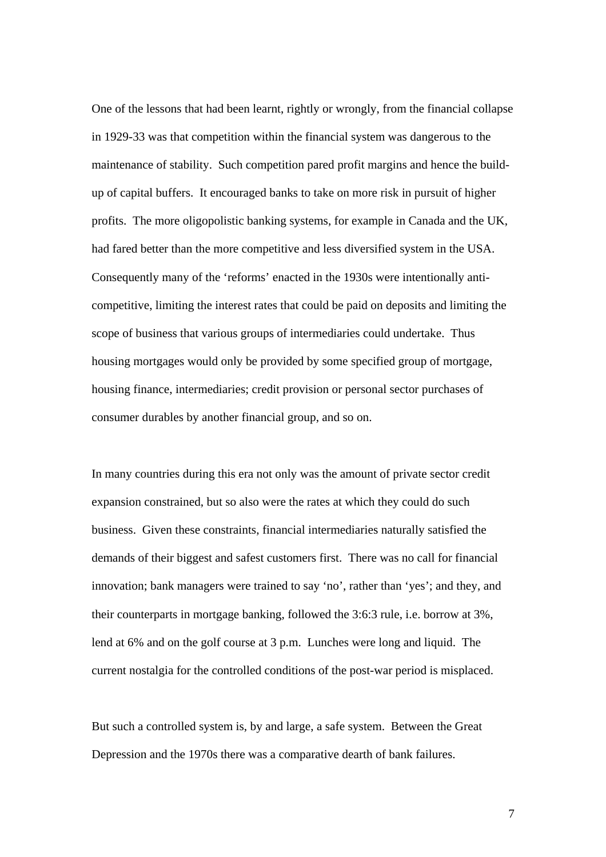One of the lessons that had been learnt, rightly or wrongly, from the financial collapse in 1929-33 was that competition within the financial system was dangerous to the maintenance of stability. Such competition pared profit margins and hence the buildup of capital buffers. It encouraged banks to take on more risk in pursuit of higher profits. The more oligopolistic banking systems, for example in Canada and the UK, had fared better than the more competitive and less diversified system in the USA. Consequently many of the 'reforms' enacted in the 1930s were intentionally anticompetitive, limiting the interest rates that could be paid on deposits and limiting the scope of business that various groups of intermediaries could undertake. Thus housing mortgages would only be provided by some specified group of mortgage, housing finance, intermediaries; credit provision or personal sector purchases of consumer durables by another financial group, and so on.

In many countries during this era not only was the amount of private sector credit expansion constrained, but so also were the rates at which they could do such business. Given these constraints, financial intermediaries naturally satisfied the demands of their biggest and safest customers first. There was no call for financial innovation; bank managers were trained to say 'no', rather than 'yes'; and they, and their counterparts in mortgage banking, followed the 3:6:3 rule, i.e. borrow at 3%, lend at 6% and on the golf course at 3 p.m. Lunches were long and liquid. The current nostalgia for the controlled conditions of the post-war period is misplaced.

But such a controlled system is, by and large, a safe system. Between the Great Depression and the 1970s there was a comparative dearth of bank failures.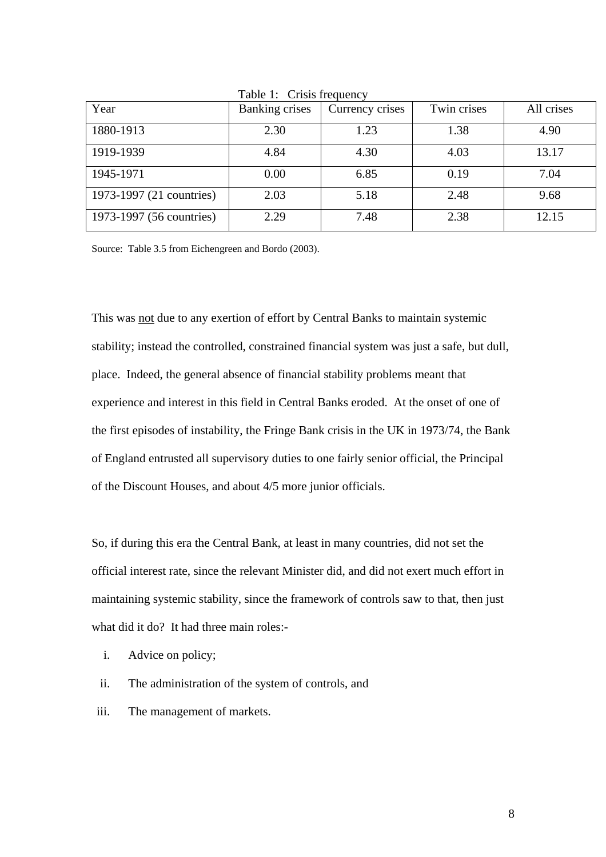| Year                     | <b>Banking crises</b> | Currency crises | Twin crises | All crises |
|--------------------------|-----------------------|-----------------|-------------|------------|
| 1880-1913                | 2.30                  | 1.23            | 1.38        | 4.90       |
| 1919-1939                | 4.84                  | 4.30            | 4.03        | 13.17      |
| 1945-1971                | 0.00                  | 6.85            | 0.19        | 7.04       |
| 1973-1997 (21 countries) | 2.03                  | 5.18            | 2.48        | 9.68       |
| 1973-1997 (56 countries) | 2.29                  | 7.48            | 2.38        | 12.15      |

Table 1: Crisis frequency

Source: Table 3.5 from Eichengreen and Bordo (2003).

This was not due to any exertion of effort by Central Banks to maintain systemic stability; instead the controlled, constrained financial system was just a safe, but dull, place. Indeed, the general absence of financial stability problems meant that experience and interest in this field in Central Banks eroded. At the onset of one of the first episodes of instability, the Fringe Bank crisis in the UK in 1973/74, the Bank of England entrusted all supervisory duties to one fairly senior official, the Principal of the Discount Houses, and about 4/5 more junior officials.

So, if during this era the Central Bank, at least in many countries, did not set the official interest rate, since the relevant Minister did, and did not exert much effort in maintaining systemic stability, since the framework of controls saw to that, then just what did it do? It had three main roles:-

- i. Advice on policy;
- ii. The administration of the system of controls, and
- iii. The management of markets.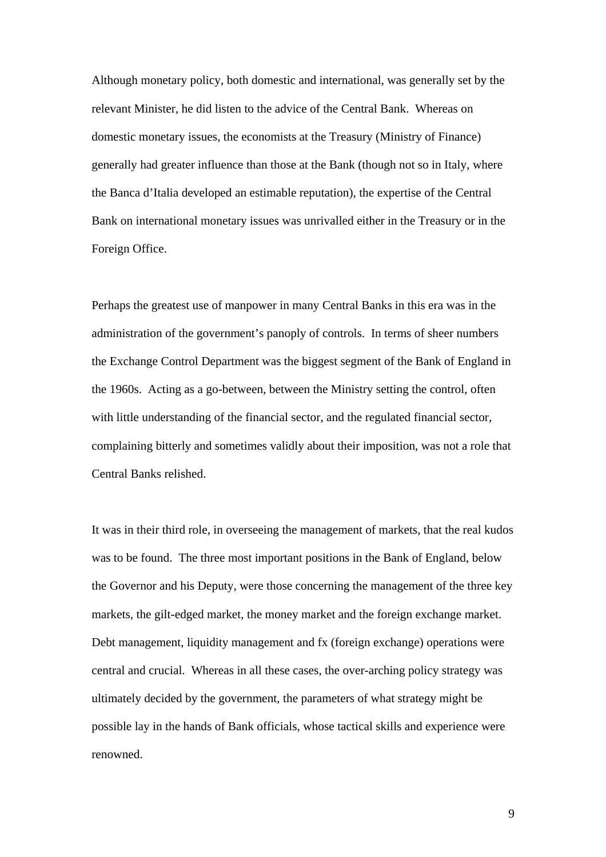Although monetary policy, both domestic and international, was generally set by the relevant Minister, he did listen to the advice of the Central Bank. Whereas on domestic monetary issues, the economists at the Treasury (Ministry of Finance) generally had greater influence than those at the Bank (though not so in Italy, where the Banca d'Italia developed an estimable reputation), the expertise of the Central Bank on international monetary issues was unrivalled either in the Treasury or in the Foreign Office.

Perhaps the greatest use of manpower in many Central Banks in this era was in the administration of the government's panoply of controls. In terms of sheer numbers the Exchange Control Department was the biggest segment of the Bank of England in the 1960s. Acting as a go-between, between the Ministry setting the control, often with little understanding of the financial sector, and the regulated financial sector, complaining bitterly and sometimes validly about their imposition, was not a role that Central Banks relished.

It was in their third role, in overseeing the management of markets, that the real kudos was to be found. The three most important positions in the Bank of England, below the Governor and his Deputy, were those concerning the management of the three key markets, the gilt-edged market, the money market and the foreign exchange market. Debt management, liquidity management and fx (foreign exchange) operations were central and crucial. Whereas in all these cases, the over-arching policy strategy was ultimately decided by the government, the parameters of what strategy might be possible lay in the hands of Bank officials, whose tactical skills and experience were renowned.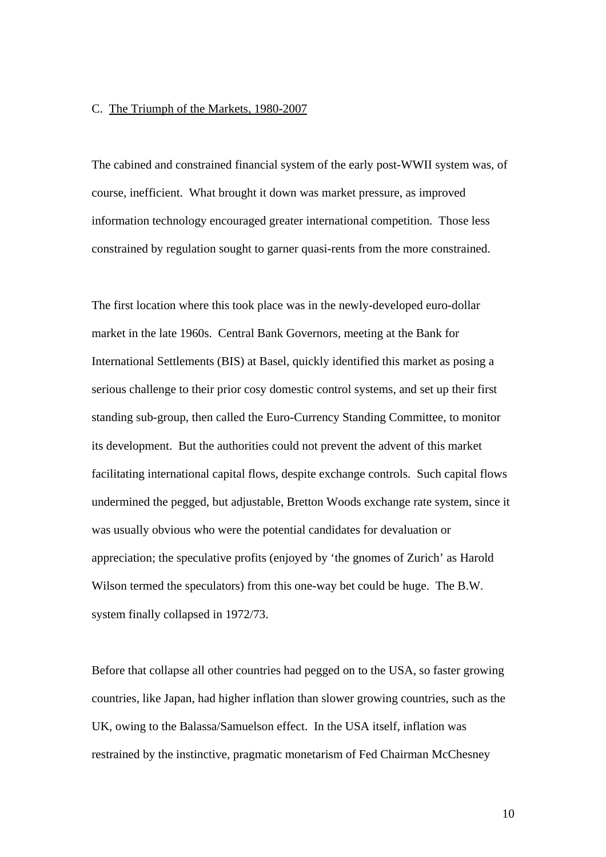#### C. The Triumph of the Markets, 1980-2007

The cabined and constrained financial system of the early post-WWII system was, of course, inefficient. What brought it down was market pressure, as improved information technology encouraged greater international competition. Those less constrained by regulation sought to garner quasi-rents from the more constrained.

The first location where this took place was in the newly-developed euro-dollar market in the late 1960s. Central Bank Governors, meeting at the Bank for International Settlements (BIS) at Basel, quickly identified this market as posing a serious challenge to their prior cosy domestic control systems, and set up their first standing sub-group, then called the Euro-Currency Standing Committee, to monitor its development. But the authorities could not prevent the advent of this market facilitating international capital flows, despite exchange controls. Such capital flows undermined the pegged, but adjustable, Bretton Woods exchange rate system, since it was usually obvious who were the potential candidates for devaluation or appreciation; the speculative profits (enjoyed by 'the gnomes of Zurich' as Harold Wilson termed the speculators) from this one-way bet could be huge. The B.W. system finally collapsed in 1972/73.

Before that collapse all other countries had pegged on to the USA, so faster growing countries, like Japan, had higher inflation than slower growing countries, such as the UK, owing to the Balassa/Samuelson effect. In the USA itself, inflation was restrained by the instinctive, pragmatic monetarism of Fed Chairman McChesney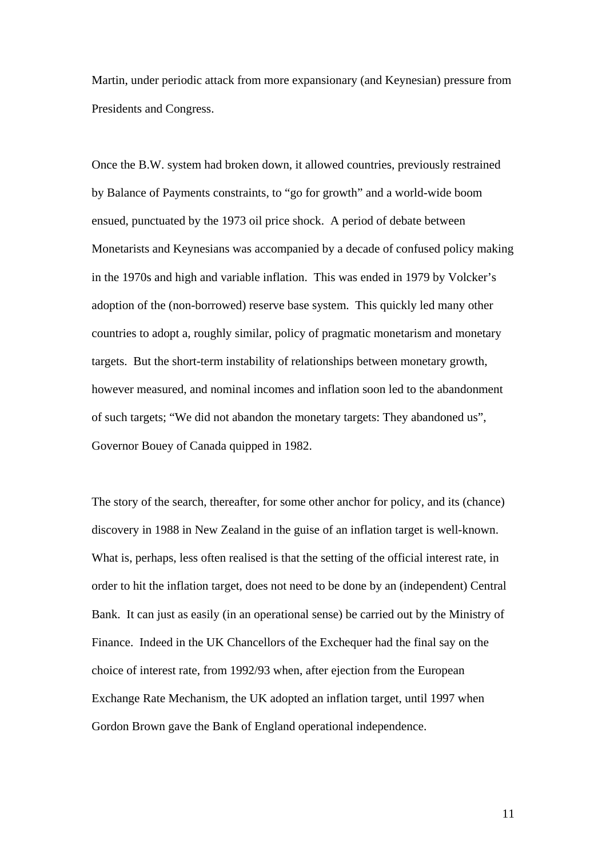Martin, under periodic attack from more expansionary (and Keynesian) pressure from Presidents and Congress.

Once the B.W. system had broken down, it allowed countries, previously restrained by Balance of Payments constraints, to "go for growth" and a world-wide boom ensued, punctuated by the 1973 oil price shock. A period of debate between Monetarists and Keynesians was accompanied by a decade of confused policy making in the 1970s and high and variable inflation. This was ended in 1979 by Volcker's adoption of the (non-borrowed) reserve base system. This quickly led many other countries to adopt a, roughly similar, policy of pragmatic monetarism and monetary targets. But the short-term instability of relationships between monetary growth, however measured, and nominal incomes and inflation soon led to the abandonment of such targets; "We did not abandon the monetary targets: They abandoned us", Governor Bouey of Canada quipped in 1982.

The story of the search, thereafter, for some other anchor for policy, and its (chance) discovery in 1988 in New Zealand in the guise of an inflation target is well-known. What is, perhaps, less often realised is that the setting of the official interest rate, in order to hit the inflation target, does not need to be done by an (independent) Central Bank. It can just as easily (in an operational sense) be carried out by the Ministry of Finance. Indeed in the UK Chancellors of the Exchequer had the final say on the choice of interest rate, from 1992/93 when, after ejection from the European Exchange Rate Mechanism, the UK adopted an inflation target, until 1997 when Gordon Brown gave the Bank of England operational independence.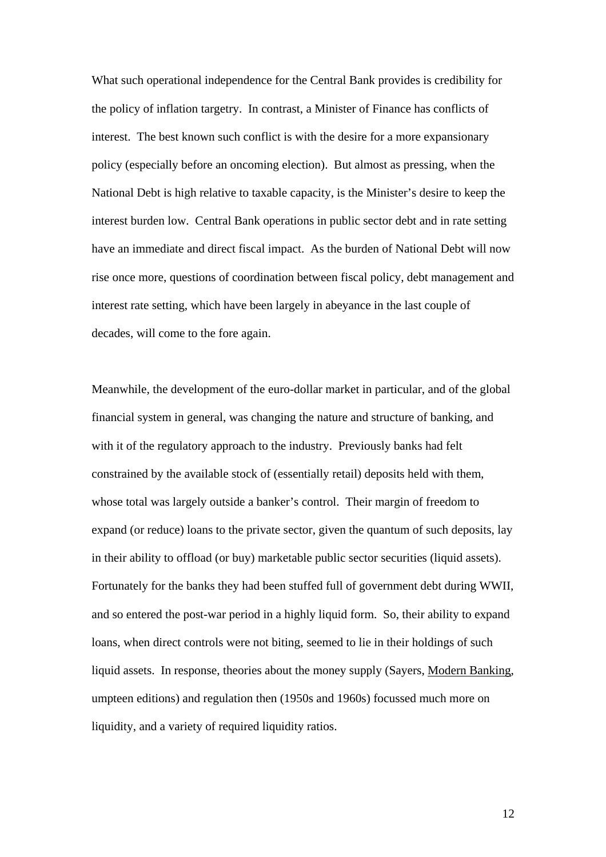What such operational independence for the Central Bank provides is credibility for the policy of inflation targetry. In contrast, a Minister of Finance has conflicts of interest. The best known such conflict is with the desire for a more expansionary policy (especially before an oncoming election). But almost as pressing, when the National Debt is high relative to taxable capacity, is the Minister's desire to keep the interest burden low. Central Bank operations in public sector debt and in rate setting have an immediate and direct fiscal impact. As the burden of National Debt will now rise once more, questions of coordination between fiscal policy, debt management and interest rate setting, which have been largely in abeyance in the last couple of decades, will come to the fore again.

Meanwhile, the development of the euro-dollar market in particular, and of the global financial system in general, was changing the nature and structure of banking, and with it of the regulatory approach to the industry. Previously banks had felt constrained by the available stock of (essentially retail) deposits held with them, whose total was largely outside a banker's control. Their margin of freedom to expand (or reduce) loans to the private sector, given the quantum of such deposits, lay in their ability to offload (or buy) marketable public sector securities (liquid assets). Fortunately for the banks they had been stuffed full of government debt during WWII, and so entered the post-war period in a highly liquid form. So, their ability to expand loans, when direct controls were not biting, seemed to lie in their holdings of such liquid assets. In response, theories about the money supply (Sayers, Modern Banking, umpteen editions) and regulation then (1950s and 1960s) focussed much more on liquidity, and a variety of required liquidity ratios.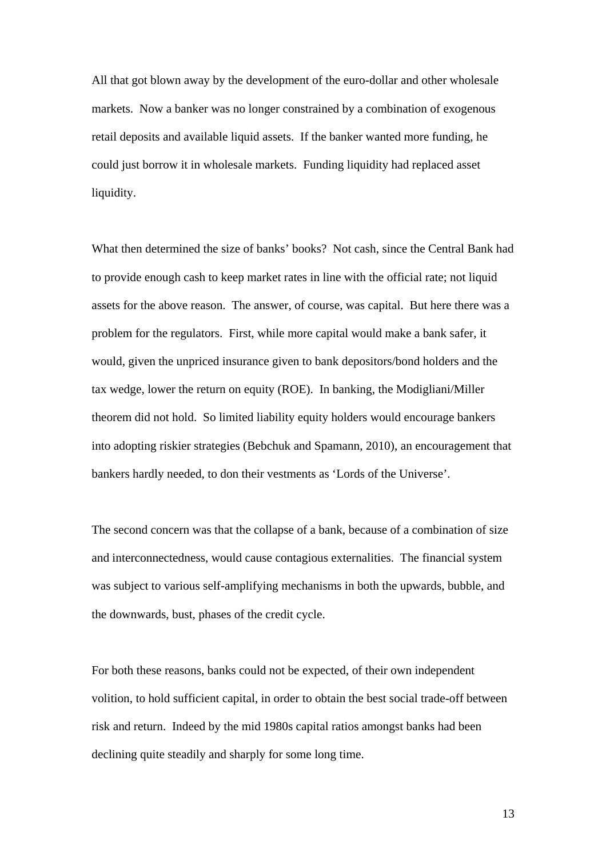All that got blown away by the development of the euro-dollar and other wholesale markets. Now a banker was no longer constrained by a combination of exogenous retail deposits and available liquid assets. If the banker wanted more funding, he could just borrow it in wholesale markets. Funding liquidity had replaced asset liquidity.

What then determined the size of banks' books? Not cash, since the Central Bank had to provide enough cash to keep market rates in line with the official rate; not liquid assets for the above reason. The answer, of course, was capital. But here there was a problem for the regulators. First, while more capital would make a bank safer, it would, given the unpriced insurance given to bank depositors/bond holders and the tax wedge, lower the return on equity (ROE). In banking, the Modigliani/Miller theorem did not hold. So limited liability equity holders would encourage bankers into adopting riskier strategies (Bebchuk and Spamann, 2010), an encouragement that bankers hardly needed, to don their vestments as 'Lords of the Universe'.

The second concern was that the collapse of a bank, because of a combination of size and interconnectedness, would cause contagious externalities. The financial system was subject to various self-amplifying mechanisms in both the upwards, bubble, and the downwards, bust, phases of the credit cycle.

For both these reasons, banks could not be expected, of their own independent volition, to hold sufficient capital, in order to obtain the best social trade-off between risk and return. Indeed by the mid 1980s capital ratios amongst banks had been declining quite steadily and sharply for some long time.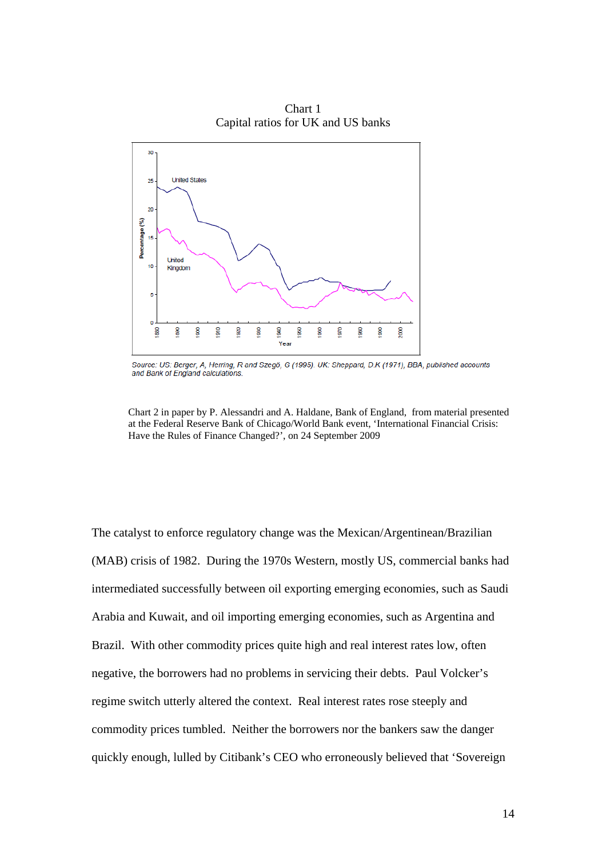

Chart 1 Capital ratios for UK and US banks

Source: US: Berger, A, Herring, R and Szegö, G (1995). UK: Sheppard, D.K (1971), BBA, published accounts and Bank of England calculations.

Chart 2 in paper by P. Alessandri and A. Haldane, Bank of England, from material presented at the Federal Reserve Bank of Chicago/World Bank event, 'International Financial Crisis: Have the Rules of Finance Changed?', on 24 September 2009

The catalyst to enforce regulatory change was the Mexican/Argentinean/Brazilian (MAB) crisis of 1982. During the 1970s Western, mostly US, commercial banks had intermediated successfully between oil exporting emerging economies, such as Saudi Arabia and Kuwait, and oil importing emerging economies, such as Argentina and Brazil. With other commodity prices quite high and real interest rates low, often negative, the borrowers had no problems in servicing their debts. Paul Volcker's regime switch utterly altered the context. Real interest rates rose steeply and commodity prices tumbled. Neither the borrowers nor the bankers saw the danger quickly enough, lulled by Citibank's CEO who erroneously believed that 'Sovereign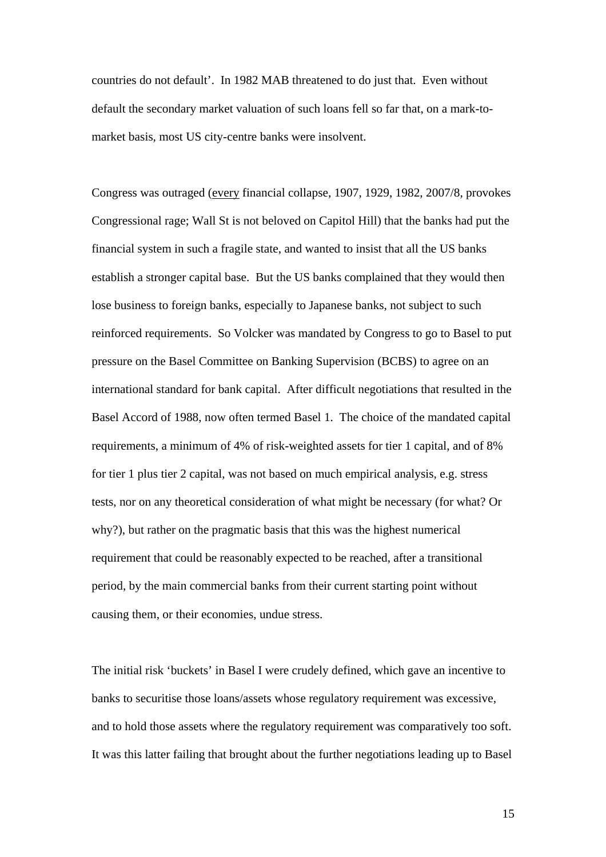countries do not default'. In 1982 MAB threatened to do just that. Even without default the secondary market valuation of such loans fell so far that, on a mark-tomarket basis, most US city-centre banks were insolvent.

Congress was outraged (every financial collapse, 1907, 1929, 1982, 2007/8, provokes Congressional rage; Wall St is not beloved on Capitol Hill) that the banks had put the financial system in such a fragile state, and wanted to insist that all the US banks establish a stronger capital base. But the US banks complained that they would then lose business to foreign banks, especially to Japanese banks, not subject to such reinforced requirements. So Volcker was mandated by Congress to go to Basel to put pressure on the Basel Committee on Banking Supervision (BCBS) to agree on an international standard for bank capital. After difficult negotiations that resulted in the Basel Accord of 1988, now often termed Basel 1. The choice of the mandated capital requirements, a minimum of 4% of risk-weighted assets for tier 1 capital, and of 8% for tier 1 plus tier 2 capital, was not based on much empirical analysis, e.g. stress tests, nor on any theoretical consideration of what might be necessary (for what? Or why?), but rather on the pragmatic basis that this was the highest numerical requirement that could be reasonably expected to be reached, after a transitional period, by the main commercial banks from their current starting point without causing them, or their economies, undue stress.

The initial risk 'buckets' in Basel I were crudely defined, which gave an incentive to banks to securitise those loans/assets whose regulatory requirement was excessive, and to hold those assets where the regulatory requirement was comparatively too soft. It was this latter failing that brought about the further negotiations leading up to Basel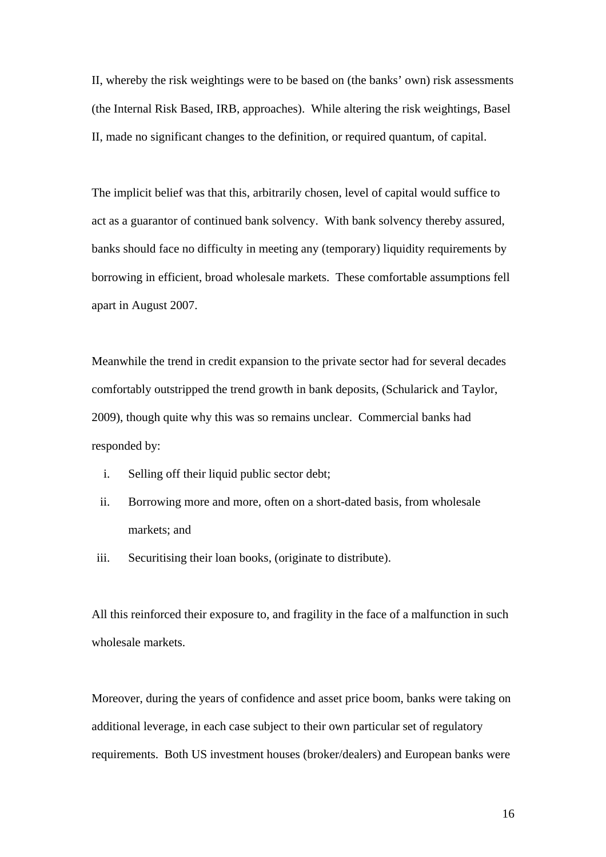II, whereby the risk weightings were to be based on (the banks' own) risk assessments (the Internal Risk Based, IRB, approaches). While altering the risk weightings, Basel II, made no significant changes to the definition, or required quantum, of capital.

The implicit belief was that this, arbitrarily chosen, level of capital would suffice to act as a guarantor of continued bank solvency. With bank solvency thereby assured, banks should face no difficulty in meeting any (temporary) liquidity requirements by borrowing in efficient, broad wholesale markets. These comfortable assumptions fell apart in August 2007.

Meanwhile the trend in credit expansion to the private sector had for several decades comfortably outstripped the trend growth in bank deposits, (Schularick and Taylor, 2009), though quite why this was so remains unclear. Commercial banks had responded by:

- i. Selling off their liquid public sector debt;
- ii. Borrowing more and more, often on a short-dated basis, from wholesale markets; and
- iii. Securitising their loan books, (originate to distribute).

All this reinforced their exposure to, and fragility in the face of a malfunction in such wholesale markets.

Moreover, during the years of confidence and asset price boom, banks were taking on additional leverage, in each case subject to their own particular set of regulatory requirements. Both US investment houses (broker/dealers) and European banks were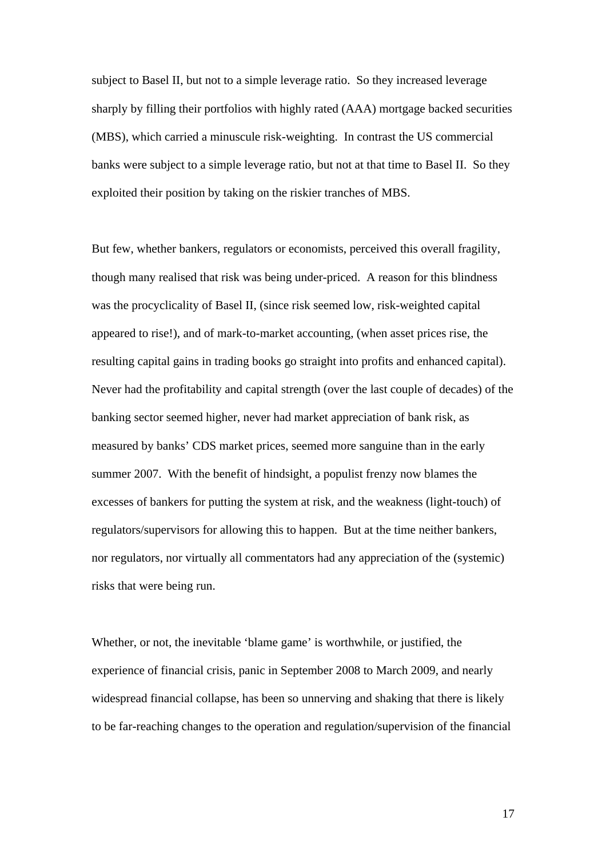subject to Basel II, but not to a simple leverage ratio. So they increased leverage sharply by filling their portfolios with highly rated (AAA) mortgage backed securities (MBS), which carried a minuscule risk-weighting. In contrast the US commercial banks were subject to a simple leverage ratio, but not at that time to Basel II. So they exploited their position by taking on the riskier tranches of MBS.

But few, whether bankers, regulators or economists, perceived this overall fragility, though many realised that risk was being under-priced. A reason for this blindness was the procyclicality of Basel II, (since risk seemed low, risk-weighted capital appeared to rise!), and of mark-to-market accounting, (when asset prices rise, the resulting capital gains in trading books go straight into profits and enhanced capital). Never had the profitability and capital strength (over the last couple of decades) of the banking sector seemed higher, never had market appreciation of bank risk, as measured by banks' CDS market prices, seemed more sanguine than in the early summer 2007. With the benefit of hindsight, a populist frenzy now blames the excesses of bankers for putting the system at risk, and the weakness (light-touch) of regulators/supervisors for allowing this to happen. But at the time neither bankers, nor regulators, nor virtually all commentators had any appreciation of the (systemic) risks that were being run.

Whether, or not, the inevitable 'blame game' is worthwhile, or justified, the experience of financial crisis, panic in September 2008 to March 2009, and nearly widespread financial collapse, has been so unnerving and shaking that there is likely to be far-reaching changes to the operation and regulation/supervision of the financial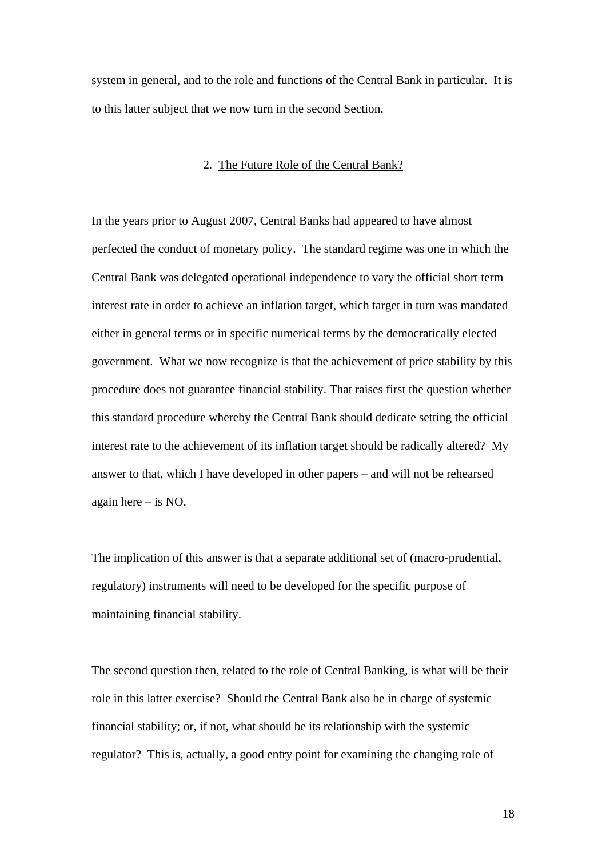system in general, and to the role and functions of the Central Bank in particular. It is to this latter subject that we now turn in the second Section.

### 2. The Future Role of the Central Bank?

In the years prior to August 2007, Central Banks had appeared to have almost perfected the conduct of monetary policy. The standard regime was one in which the Central Bank was delegated operational independence to vary the official short term interest rate in order to achieve an inflation target, which target in turn was mandated either in general terms or in specific numerical terms by the democratically elected government. What we now recognize is that the achievement of price stability by this procedure does not guarantee financial stability. That raises first the question whether this standard procedure whereby the Central Bank should dedicate setting the official interest rate to the achievement of its inflation target should be radically altered? My answer to that, which I have developed in other papers – and will not be rehearsed again here – is NO.

The implication of this answer is that a separate additional set of (macro-prudential, regulatory) instruments will need to be developed for the specific purpose of maintaining financial stability.

The second question then, related to the role of Central Banking, is what will be their role in this latter exercise? Should the Central Bank also be in charge of systemic financial stability; or, if not, what should be its relationship with the systemic regulator? This is, actually, a good entry point for examining the changing role of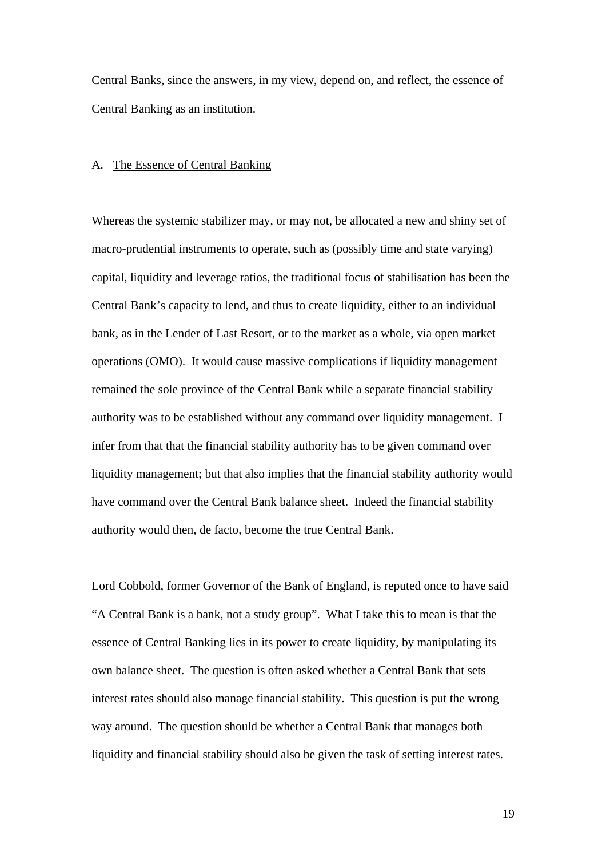Central Banks, since the answers, in my view, depend on, and reflect, the essence of Central Banking as an institution.

## A. The Essence of Central Banking

Whereas the systemic stabilizer may, or may not, be allocated a new and shiny set of macro-prudential instruments to operate, such as (possibly time and state varying) capital, liquidity and leverage ratios, the traditional focus of stabilisation has been the Central Bank's capacity to lend, and thus to create liquidity, either to an individual bank, as in the Lender of Last Resort, or to the market as a whole, via open market operations (OMO). It would cause massive complications if liquidity management remained the sole province of the Central Bank while a separate financial stability authority was to be established without any command over liquidity management. I infer from that that the financial stability authority has to be given command over liquidity management; but that also implies that the financial stability authority would have command over the Central Bank balance sheet. Indeed the financial stability authority would then, de facto, become the true Central Bank.

Lord Cobbold, former Governor of the Bank of England, is reputed once to have said "A Central Bank is a bank, not a study group". What I take this to mean is that the essence of Central Banking lies in its power to create liquidity, by manipulating its own balance sheet. The question is often asked whether a Central Bank that sets interest rates should also manage financial stability. This question is put the wrong way around. The question should be whether a Central Bank that manages both liquidity and financial stability should also be given the task of setting interest rates.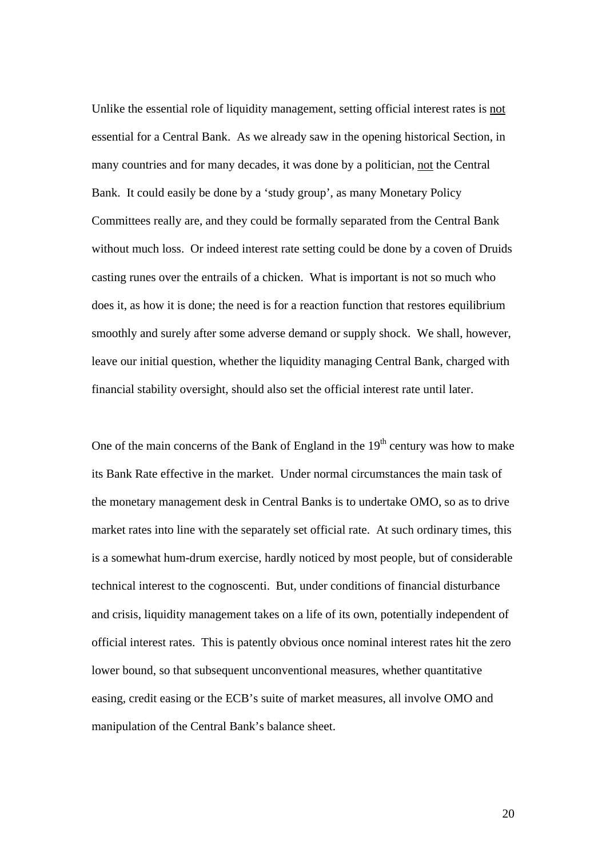Unlike the essential role of liquidity management, setting official interest rates is not essential for a Central Bank. As we already saw in the opening historical Section, in many countries and for many decades, it was done by a politician, not the Central Bank. It could easily be done by a 'study group', as many Monetary Policy Committees really are, and they could be formally separated from the Central Bank without much loss. Or indeed interest rate setting could be done by a coven of Druids casting runes over the entrails of a chicken. What is important is not so much who does it, as how it is done; the need is for a reaction function that restores equilibrium smoothly and surely after some adverse demand or supply shock. We shall, however, leave our initial question, whether the liquidity managing Central Bank, charged with financial stability oversight, should also set the official interest rate until later.

One of the main concerns of the Bank of England in the  $19<sup>th</sup>$  century was how to make its Bank Rate effective in the market. Under normal circumstances the main task of the monetary management desk in Central Banks is to undertake OMO, so as to drive market rates into line with the separately set official rate. At such ordinary times, this is a somewhat hum-drum exercise, hardly noticed by most people, but of considerable technical interest to the cognoscenti. But, under conditions of financial disturbance and crisis, liquidity management takes on a life of its own, potentially independent of official interest rates. This is patently obvious once nominal interest rates hit the zero lower bound, so that subsequent unconventional measures, whether quantitative easing, credit easing or the ECB's suite of market measures, all involve OMO and manipulation of the Central Bank's balance sheet.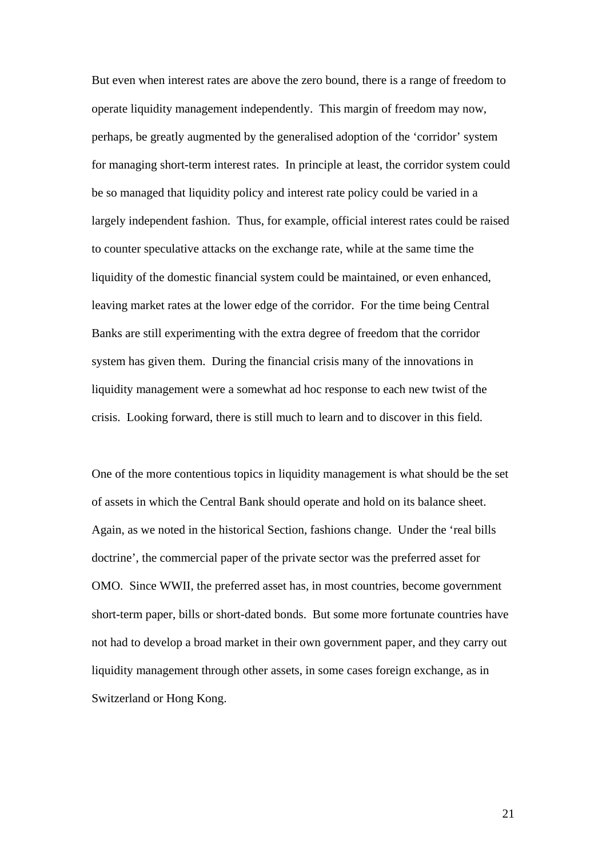But even when interest rates are above the zero bound, there is a range of freedom to operate liquidity management independently. This margin of freedom may now, perhaps, be greatly augmented by the generalised adoption of the 'corridor' system for managing short-term interest rates. In principle at least, the corridor system could be so managed that liquidity policy and interest rate policy could be varied in a largely independent fashion. Thus, for example, official interest rates could be raised to counter speculative attacks on the exchange rate, while at the same time the liquidity of the domestic financial system could be maintained, or even enhanced, leaving market rates at the lower edge of the corridor. For the time being Central Banks are still experimenting with the extra degree of freedom that the corridor system has given them. During the financial crisis many of the innovations in liquidity management were a somewhat ad hoc response to each new twist of the crisis. Looking forward, there is still much to learn and to discover in this field.

One of the more contentious topics in liquidity management is what should be the set of assets in which the Central Bank should operate and hold on its balance sheet. Again, as we noted in the historical Section, fashions change. Under the 'real bills doctrine', the commercial paper of the private sector was the preferred asset for OMO. Since WWII, the preferred asset has, in most countries, become government short-term paper, bills or short-dated bonds. But some more fortunate countries have not had to develop a broad market in their own government paper, and they carry out liquidity management through other assets, in some cases foreign exchange, as in Switzerland or Hong Kong.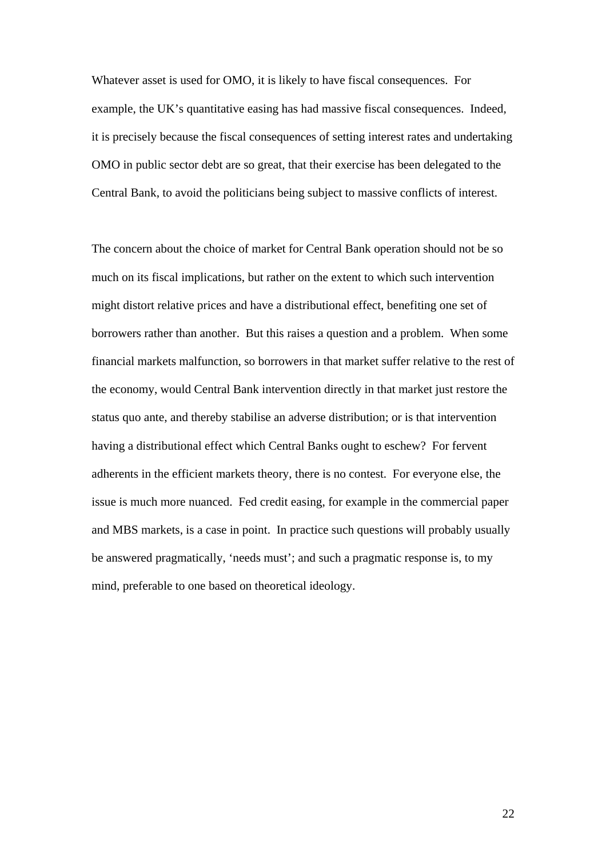Whatever asset is used for OMO, it is likely to have fiscal consequences. For example, the UK's quantitative easing has had massive fiscal consequences. Indeed, it is precisely because the fiscal consequences of setting interest rates and undertaking OMO in public sector debt are so great, that their exercise has been delegated to the Central Bank, to avoid the politicians being subject to massive conflicts of interest.

The concern about the choice of market for Central Bank operation should not be so much on its fiscal implications, but rather on the extent to which such intervention might distort relative prices and have a distributional effect, benefiting one set of borrowers rather than another. But this raises a question and a problem. When some financial markets malfunction, so borrowers in that market suffer relative to the rest of the economy, would Central Bank intervention directly in that market just restore the status quo ante, and thereby stabilise an adverse distribution; or is that intervention having a distributional effect which Central Banks ought to eschew? For fervent adherents in the efficient markets theory, there is no contest. For everyone else, the issue is much more nuanced. Fed credit easing, for example in the commercial paper and MBS markets, is a case in point. In practice such questions will probably usually be answered pragmatically, 'needs must'; and such a pragmatic response is, to my mind, preferable to one based on theoretical ideology.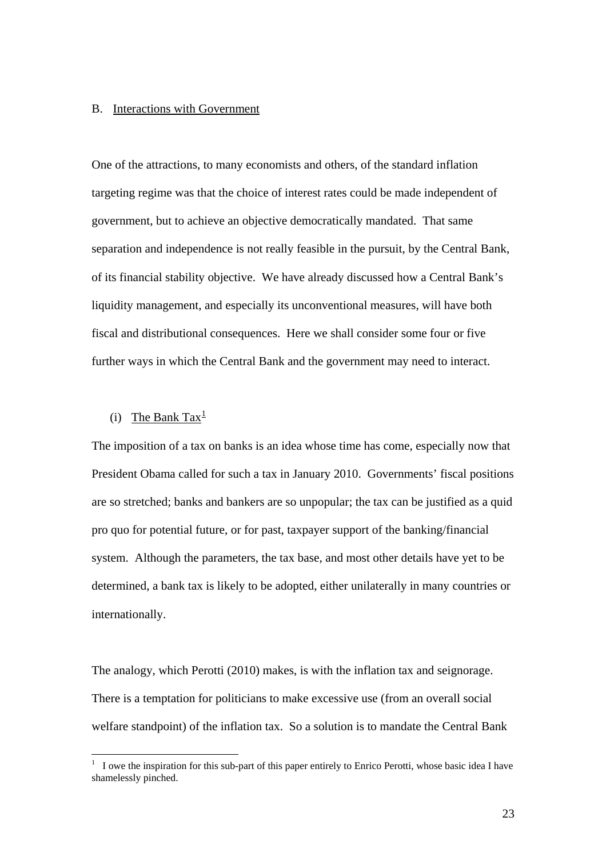## B. Interactions with Government

One of the attractions, to many economists and others, of the standard inflation targeting regime was that the choice of interest rates could be made independent of government, but to achieve an objective democratically mandated. That same separation and independence is not really feasible in the pursuit, by the Central Bank, of its financial stability objective. We have already discussed how a Central Bank's liquidity management, and especially its unconventional measures, will have both fiscal and distributional consequences. Here we shall consider some four or five further ways in which the Central Bank and the government may need to interact.

# (i) The Bank Tax<sup>[1](#page-22-0)</sup>

 $\overline{a}$ 

The imposition of a tax on banks is an idea whose time has come, especially now that President Obama called for such a tax in January 2010. Governments' fiscal positions are so stretched; banks and bankers are so unpopular; the tax can be justified as a quid pro quo for potential future, or for past, taxpayer support of the banking/financial system. Although the parameters, the tax base, and most other details have yet to be determined, a bank tax is likely to be adopted, either unilaterally in many countries or internationally.

The analogy, which Perotti (2010) makes, is with the inflation tax and seignorage. There is a temptation for politicians to make excessive use (from an overall social welfare standpoint) of the inflation tax. So a solution is to mandate the Central Bank

<span id="page-22-0"></span><sup>1</sup> I owe the inspiration for this sub-part of this paper entirely to Enrico Perotti, whose basic idea I have shamelessly pinched.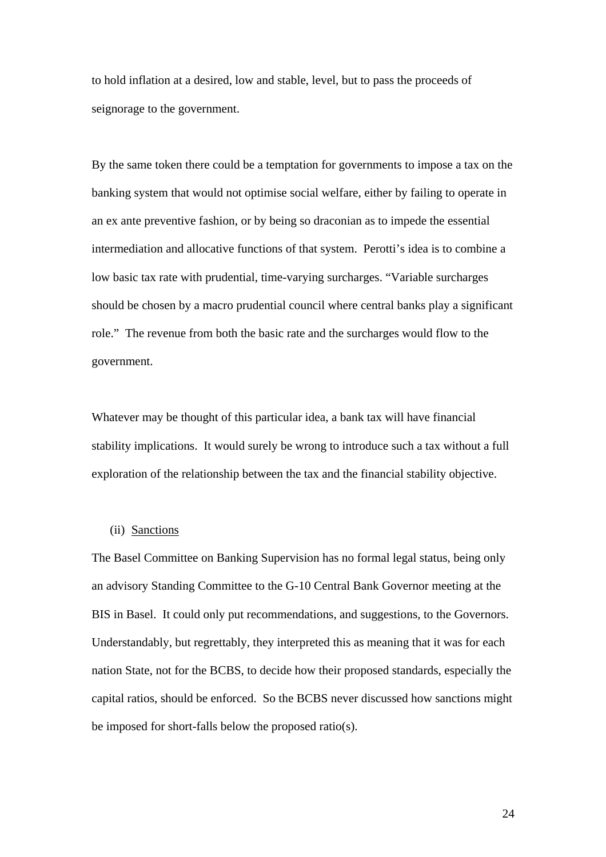to hold inflation at a desired, low and stable, level, but to pass the proceeds of seignorage to the government.

By the same token there could be a temptation for governments to impose a tax on the banking system that would not optimise social welfare, either by failing to operate in an ex ante preventive fashion, or by being so draconian as to impede the essential intermediation and allocative functions of that system. Perotti's idea is to combine a low basic tax rate with prudential, time-varying surcharges. "Variable surcharges should be chosen by a macro prudential council where central banks play a significant role." The revenue from both the basic rate and the surcharges would flow to the government.

Whatever may be thought of this particular idea, a bank tax will have financial stability implications. It would surely be wrong to introduce such a tax without a full exploration of the relationship between the tax and the financial stability objective.

## (ii) Sanctions

The Basel Committee on Banking Supervision has no formal legal status, being only an advisory Standing Committee to the G-10 Central Bank Governor meeting at the BIS in Basel. It could only put recommendations, and suggestions, to the Governors. Understandably, but regrettably, they interpreted this as meaning that it was for each nation State, not for the BCBS, to decide how their proposed standards, especially the capital ratios, should be enforced. So the BCBS never discussed how sanctions might be imposed for short-falls below the proposed ratio(s).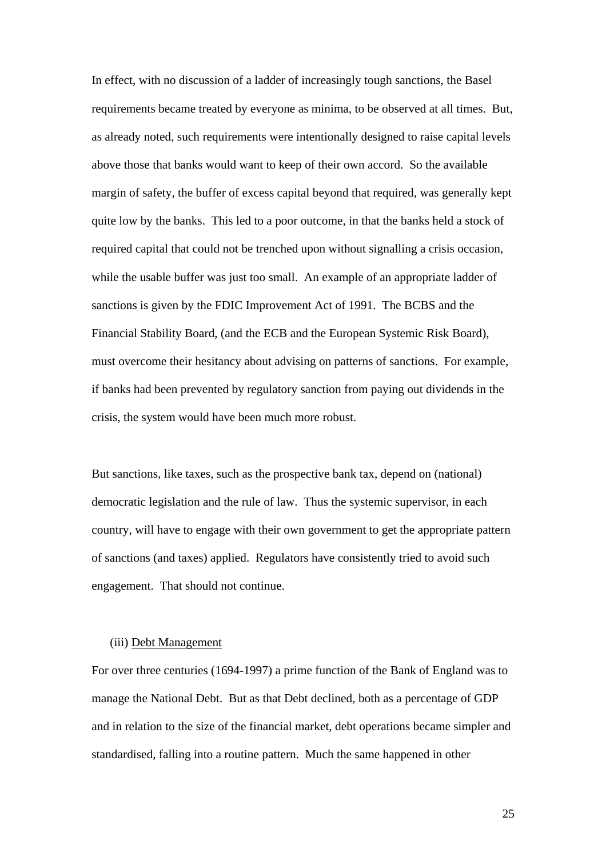In effect, with no discussion of a ladder of increasingly tough sanctions, the Basel requirements became treated by everyone as minima, to be observed at all times. But, as already noted, such requirements were intentionally designed to raise capital levels above those that banks would want to keep of their own accord. So the available margin of safety, the buffer of excess capital beyond that required, was generally kept quite low by the banks. This led to a poor outcome, in that the banks held a stock of required capital that could not be trenched upon without signalling a crisis occasion, while the usable buffer was just too small. An example of an appropriate ladder of sanctions is given by the FDIC Improvement Act of 1991. The BCBS and the Financial Stability Board, (and the ECB and the European Systemic Risk Board), must overcome their hesitancy about advising on patterns of sanctions. For example, if banks had been prevented by regulatory sanction from paying out dividends in the crisis, the system would have been much more robust.

But sanctions, like taxes, such as the prospective bank tax, depend on (national) democratic legislation and the rule of law. Thus the systemic supervisor, in each country, will have to engage with their own government to get the appropriate pattern of sanctions (and taxes) applied. Regulators have consistently tried to avoid such engagement. That should not continue.

## (iii) Debt Management

For over three centuries (1694-1997) a prime function of the Bank of England was to manage the National Debt. But as that Debt declined, both as a percentage of GDP and in relation to the size of the financial market, debt operations became simpler and standardised, falling into a routine pattern. Much the same happened in other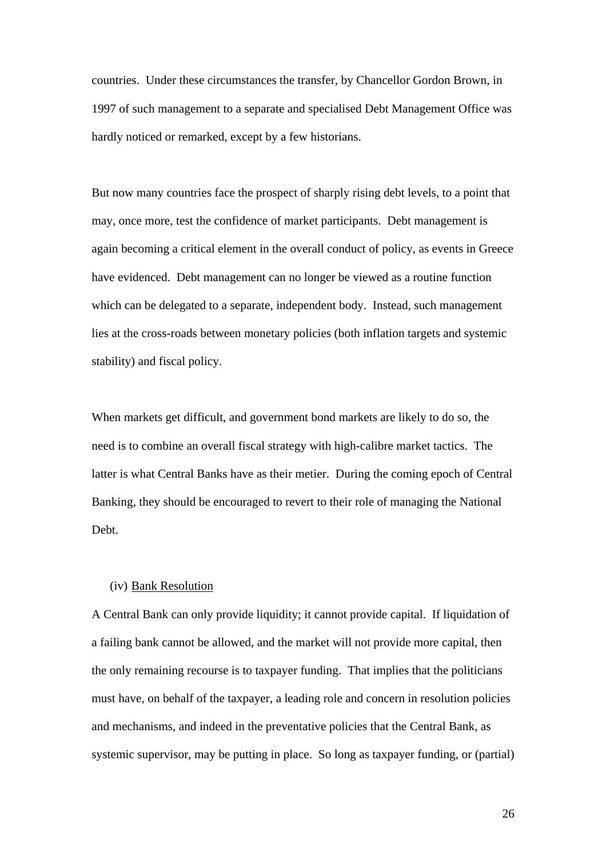countries. Under these circumstances the transfer, by Chancellor Gordon Brown, in 1997 of such management to a separate and specialised Debt Management Office was hardly noticed or remarked, except by a few historians.

But now many countries face the prospect of sharply rising debt levels, to a point that may, once more, test the confidence of market participants. Debt management is again becoming a critical element in the overall conduct of policy, as events in Greece have evidenced. Debt management can no longer be viewed as a routine function which can be delegated to a separate, independent body. Instead, such management lies at the cross-roads between monetary policies (both inflation targets and systemic stability) and fiscal policy.

When markets get difficult, and government bond markets are likely to do so, the need is to combine an overall fiscal strategy with high-calibre market tactics. The latter is what Central Banks have as their metier. During the coming epoch of Central Banking, they should be encouraged to revert to their role of managing the National Debt.

## (iv) Bank Resolution

A Central Bank can only provide liquidity; it cannot provide capital. If liquidation of a failing bank cannot be allowed, and the market will not provide more capital, then the only remaining recourse is to taxpayer funding. That implies that the politicians must have, on behalf of the taxpayer, a leading role and concern in resolution policies and mechanisms, and indeed in the preventative policies that the Central Bank, as systemic supervisor, may be putting in place. So long as taxpayer funding, or (partial)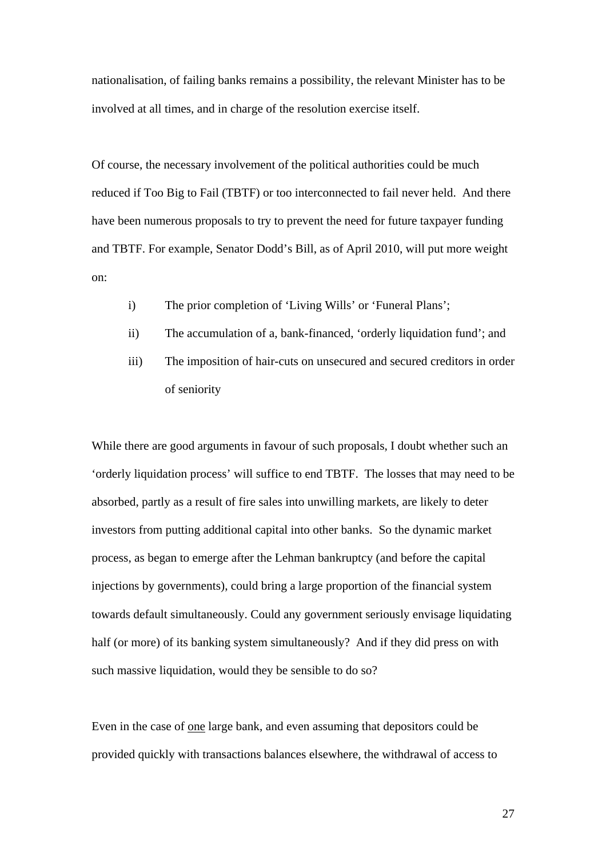nationalisation, of failing banks remains a possibility, the relevant Minister has to be involved at all times, and in charge of the resolution exercise itself.

Of course, the necessary involvement of the political authorities could be much reduced if Too Big to Fail (TBTF) or too interconnected to fail never held. And there have been numerous proposals to try to prevent the need for future taxpayer funding and TBTF. For example, Senator Dodd's Bill, as of April 2010, will put more weight on:

- i) The prior completion of 'Living Wills' or 'Funeral Plans';
- ii) The accumulation of a, bank-financed, 'orderly liquidation fund'; and
- iii) The imposition of hair-cuts on unsecured and secured creditors in order of seniority

While there are good arguments in favour of such proposals, I doubt whether such an 'orderly liquidation process' will suffice to end TBTF. The losses that may need to be absorbed, partly as a result of fire sales into unwilling markets, are likely to deter investors from putting additional capital into other banks. So the dynamic market process, as began to emerge after the Lehman bankruptcy (and before the capital injections by governments), could bring a large proportion of the financial system towards default simultaneously. Could any government seriously envisage liquidating half (or more) of its banking system simultaneously? And if they did press on with such massive liquidation, would they be sensible to do so?

Even in the case of one large bank, and even assuming that depositors could be provided quickly with transactions balances elsewhere, the withdrawal of access to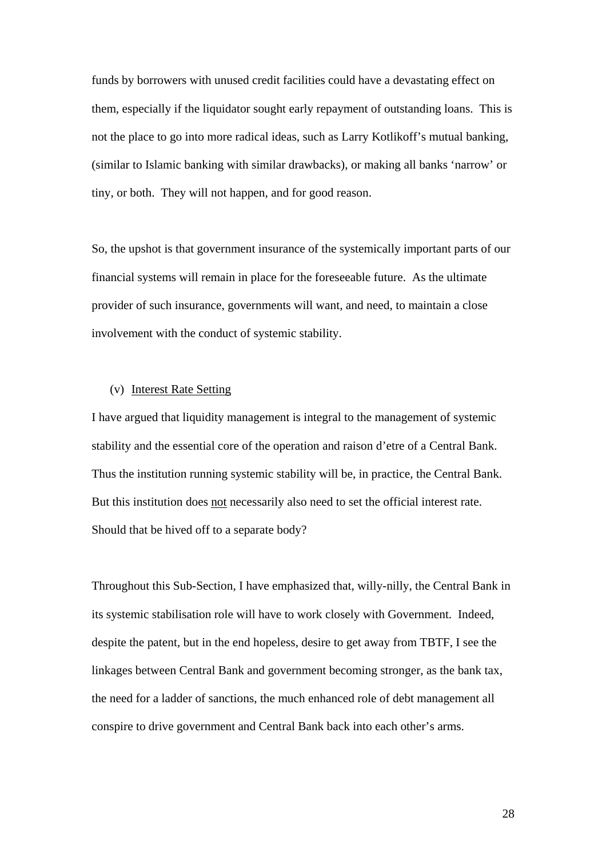funds by borrowers with unused credit facilities could have a devastating effect on them, especially if the liquidator sought early repayment of outstanding loans. This is not the place to go into more radical ideas, such as Larry Kotlikoff's mutual banking, (similar to Islamic banking with similar drawbacks), or making all banks 'narrow' or tiny, or both. They will not happen, and for good reason.

So, the upshot is that government insurance of the systemically important parts of our financial systems will remain in place for the foreseeable future. As the ultimate provider of such insurance, governments will want, and need, to maintain a close involvement with the conduct of systemic stability.

## (v) Interest Rate Setting

I have argued that liquidity management is integral to the management of systemic stability and the essential core of the operation and raison d'etre of a Central Bank. Thus the institution running systemic stability will be, in practice, the Central Bank. But this institution does not necessarily also need to set the official interest rate. Should that be hived off to a separate body?

Throughout this Sub-Section, I have emphasized that, willy-nilly, the Central Bank in its systemic stabilisation role will have to work closely with Government. Indeed, despite the patent, but in the end hopeless, desire to get away from TBTF, I see the linkages between Central Bank and government becoming stronger, as the bank tax, the need for a ladder of sanctions, the much enhanced role of debt management all conspire to drive government and Central Bank back into each other's arms.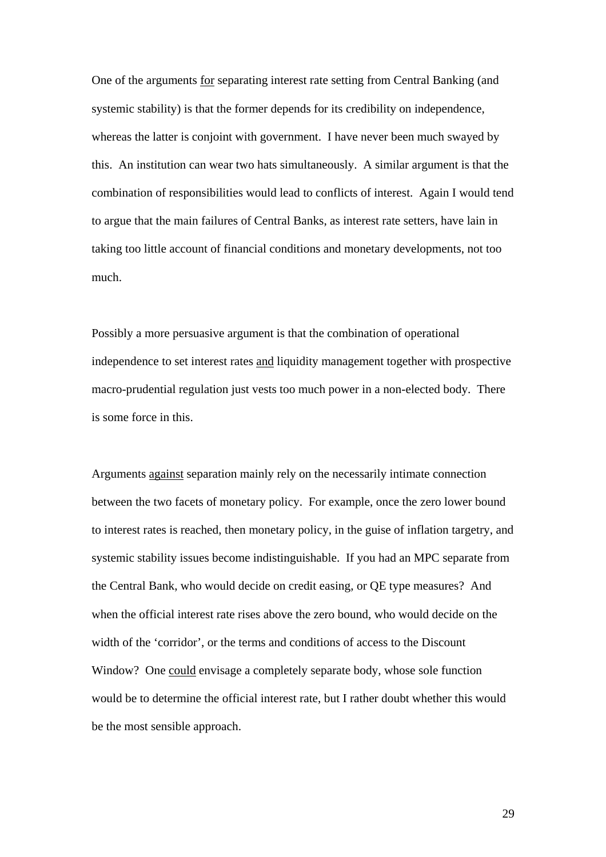One of the arguments for separating interest rate setting from Central Banking (and systemic stability) is that the former depends for its credibility on independence, whereas the latter is conjoint with government. I have never been much swayed by this. An institution can wear two hats simultaneously. A similar argument is that the combination of responsibilities would lead to conflicts of interest. Again I would tend to argue that the main failures of Central Banks, as interest rate setters, have lain in taking too little account of financial conditions and monetary developments, not too much.

Possibly a more persuasive argument is that the combination of operational independence to set interest rates and liquidity management together with prospective macro-prudential regulation just vests too much power in a non-elected body. There is some force in this.

Arguments against separation mainly rely on the necessarily intimate connection between the two facets of monetary policy. For example, once the zero lower bound to interest rates is reached, then monetary policy, in the guise of inflation targetry, and systemic stability issues become indistinguishable. If you had an MPC separate from the Central Bank, who would decide on credit easing, or QE type measures? And when the official interest rate rises above the zero bound, who would decide on the width of the 'corridor', or the terms and conditions of access to the Discount Window? One could envisage a completely separate body, whose sole function would be to determine the official interest rate, but I rather doubt whether this would be the most sensible approach.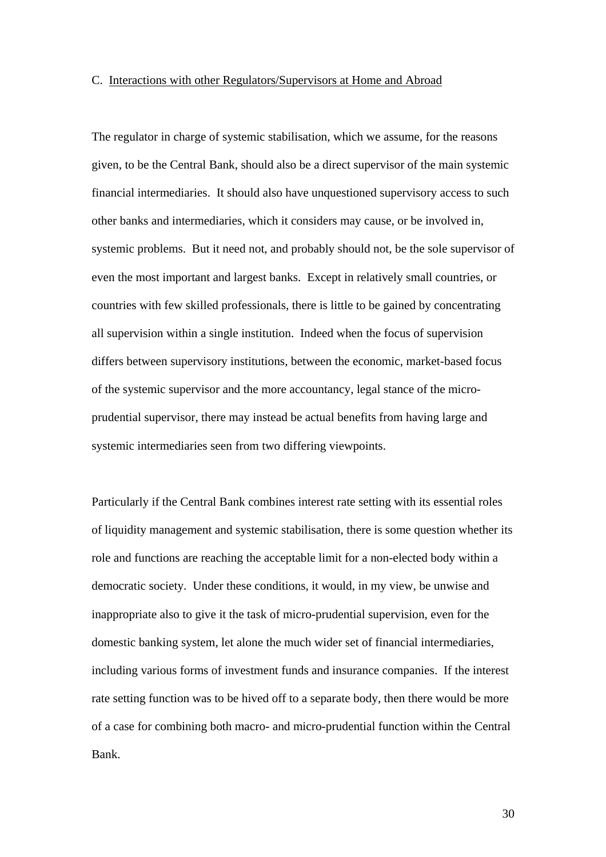## C. Interactions with other Regulators/Supervisors at Home and Abroad

The regulator in charge of systemic stabilisation, which we assume, for the reasons given, to be the Central Bank, should also be a direct supervisor of the main systemic financial intermediaries. It should also have unquestioned supervisory access to such other banks and intermediaries, which it considers may cause, or be involved in, systemic problems. But it need not, and probably should not, be the sole supervisor of even the most important and largest banks. Except in relatively small countries, or countries with few skilled professionals, there is little to be gained by concentrating all supervision within a single institution. Indeed when the focus of supervision differs between supervisory institutions, between the economic, market-based focus of the systemic supervisor and the more accountancy, legal stance of the microprudential supervisor, there may instead be actual benefits from having large and systemic intermediaries seen from two differing viewpoints.

Particularly if the Central Bank combines interest rate setting with its essential roles of liquidity management and systemic stabilisation, there is some question whether its role and functions are reaching the acceptable limit for a non-elected body within a democratic society. Under these conditions, it would, in my view, be unwise and inappropriate also to give it the task of micro-prudential supervision, even for the domestic banking system, let alone the much wider set of financial intermediaries, including various forms of investment funds and insurance companies. If the interest rate setting function was to be hived off to a separate body, then there would be more of a case for combining both macro- and micro-prudential function within the Central Bank.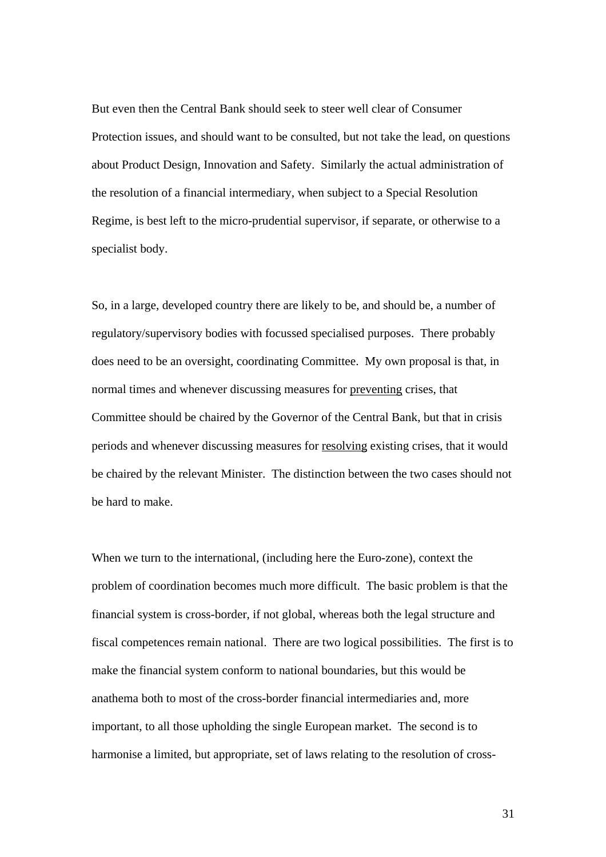But even then the Central Bank should seek to steer well clear of Consumer Protection issues, and should want to be consulted, but not take the lead, on questions about Product Design, Innovation and Safety. Similarly the actual administration of the resolution of a financial intermediary, when subject to a Special Resolution Regime, is best left to the micro-prudential supervisor, if separate, or otherwise to a specialist body.

So, in a large, developed country there are likely to be, and should be, a number of regulatory/supervisory bodies with focussed specialised purposes. There probably does need to be an oversight, coordinating Committee. My own proposal is that, in normal times and whenever discussing measures for preventing crises, that Committee should be chaired by the Governor of the Central Bank, but that in crisis periods and whenever discussing measures for resolving existing crises, that it would be chaired by the relevant Minister. The distinction between the two cases should not be hard to make.

When we turn to the international, (including here the Euro-zone), context the problem of coordination becomes much more difficult. The basic problem is that the financial system is cross-border, if not global, whereas both the legal structure and fiscal competences remain national. There are two logical possibilities. The first is to make the financial system conform to national boundaries, but this would be anathema both to most of the cross-border financial intermediaries and, more important, to all those upholding the single European market. The second is to harmonise a limited, but appropriate, set of laws relating to the resolution of cross-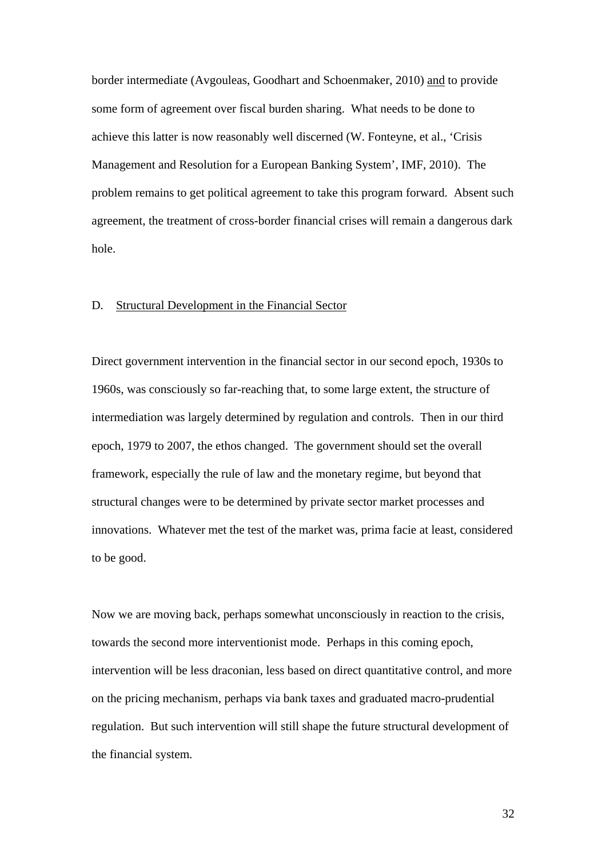border intermediate (Avgouleas, Goodhart and Schoenmaker, 2010) and to provide some form of agreement over fiscal burden sharing. What needs to be done to achieve this latter is now reasonably well discerned (W. Fonteyne, et al., 'Crisis Management and Resolution for a European Banking System', IMF, 2010). The problem remains to get political agreement to take this program forward. Absent such agreement, the treatment of cross-border financial crises will remain a dangerous dark hole.

## D. Structural Development in the Financial Sector

Direct government intervention in the financial sector in our second epoch, 1930s to 1960s, was consciously so far-reaching that, to some large extent, the structure of intermediation was largely determined by regulation and controls. Then in our third epoch, 1979 to 2007, the ethos changed. The government should set the overall framework, especially the rule of law and the monetary regime, but beyond that structural changes were to be determined by private sector market processes and innovations. Whatever met the test of the market was, prima facie at least, considered to be good.

Now we are moving back, perhaps somewhat unconsciously in reaction to the crisis, towards the second more interventionist mode. Perhaps in this coming epoch, intervention will be less draconian, less based on direct quantitative control, and more on the pricing mechanism, perhaps via bank taxes and graduated macro-prudential regulation. But such intervention will still shape the future structural development of the financial system.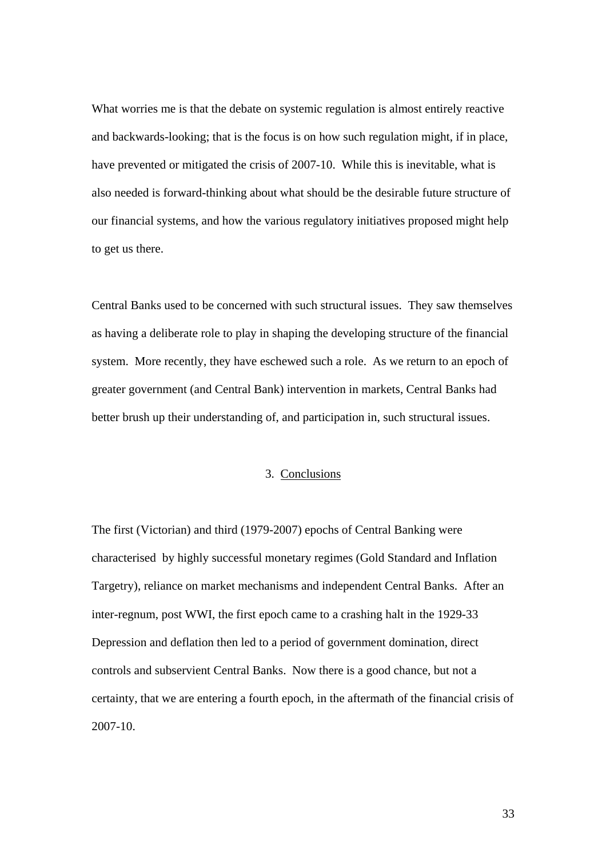What worries me is that the debate on systemic regulation is almost entirely reactive and backwards-looking; that is the focus is on how such regulation might, if in place, have prevented or mitigated the crisis of 2007-10. While this is inevitable, what is also needed is forward-thinking about what should be the desirable future structure of our financial systems, and how the various regulatory initiatives proposed might help to get us there.

Central Banks used to be concerned with such structural issues. They saw themselves as having a deliberate role to play in shaping the developing structure of the financial system. More recently, they have eschewed such a role. As we return to an epoch of greater government (and Central Bank) intervention in markets, Central Banks had better brush up their understanding of, and participation in, such structural issues.

# 3. Conclusions

The first (Victorian) and third (1979-2007) epochs of Central Banking were characterised by highly successful monetary regimes (Gold Standard and Inflation Targetry), reliance on market mechanisms and independent Central Banks. After an inter-regnum, post WWI, the first epoch came to a crashing halt in the 1929-33 Depression and deflation then led to a period of government domination, direct controls and subservient Central Banks. Now there is a good chance, but not a certainty, that we are entering a fourth epoch, in the aftermath of the financial crisis of 2007-10.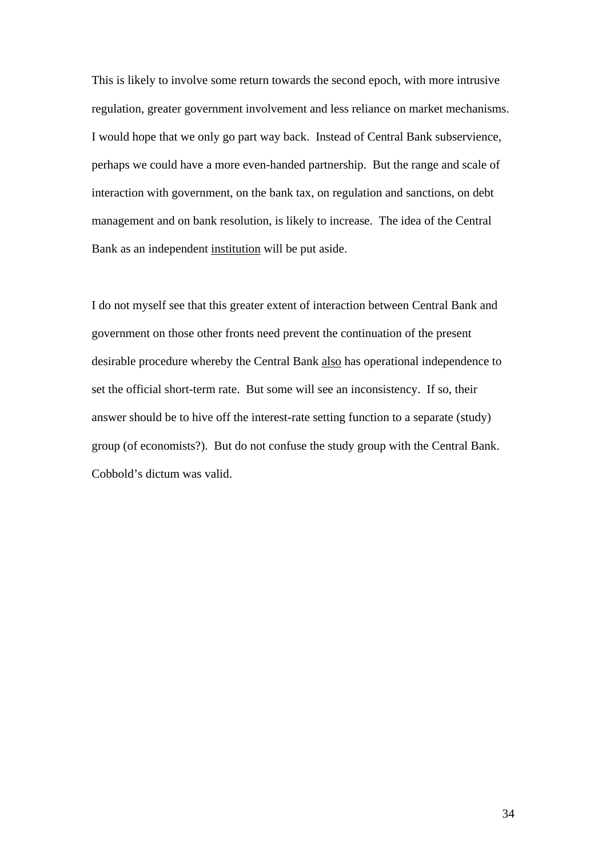This is likely to involve some return towards the second epoch, with more intrusive regulation, greater government involvement and less reliance on market mechanisms. I would hope that we only go part way back. Instead of Central Bank subservience, perhaps we could have a more even-handed partnership. But the range and scale of interaction with government, on the bank tax, on regulation and sanctions, on debt management and on bank resolution, is likely to increase. The idea of the Central Bank as an independent institution will be put aside.

I do not myself see that this greater extent of interaction between Central Bank and government on those other fronts need prevent the continuation of the present desirable procedure whereby the Central Bank also has operational independence to set the official short-term rate. But some will see an inconsistency. If so, their answer should be to hive off the interest-rate setting function to a separate (study) group (of economists?). But do not confuse the study group with the Central Bank. Cobbold's dictum was valid.